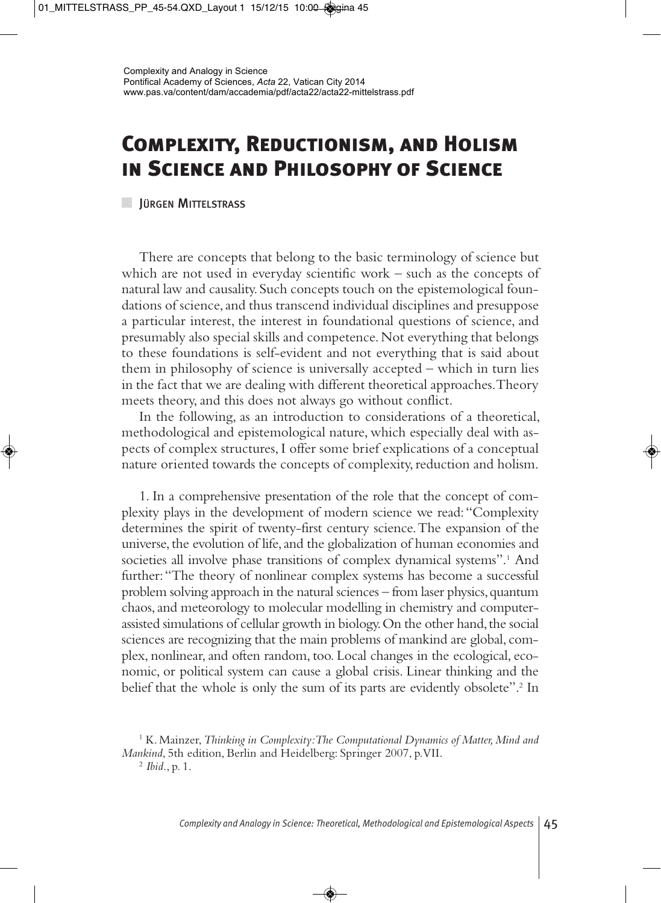## **Complexity, Reductionism, and Holism in Science and Philosophy of Science**

**JÜRGEN MITTELSTRASS** 

There are concepts that belong to the basic terminology of science but which are not used in everyday scientific work – such as the concepts of natural law and causality. Such concepts touch on the epistemological foundations of science, and thus transcend individual disciplines and presuppose a particular interest, the interest in foundational questions of science, and presumably also special skills and competence. Not everything that belongs to these foundations is self-evident and not everything that is said about them in philosophy of science is universally accepted – which in turn lies in the fact that we are dealing with different theoretical approaches. Theory meets theory, and this does not always go without conflict.

In the following, as an introduction to considerations of a theoretical, methodological and epistemological nature, which especially deal with aspects of complex structures, I offer some brief explications of a conceptual nature oriented towards the concepts of complexity, reduction and holism.

1. In a comprehensive presentation of the role that the concept of complexity plays in the development of modern science we read: "Complexity determines the spirit of twenty-first century science. The expansion of the universe, the evolution of life, and the globalization of human economies and societies all involve phase transitions of complex dynamical systems".<sup>1</sup> And further: "The theory of nonlinear complex systems has become a successful problem solving approach in the natural sciences – from laser physics, quantum chaos, and meteorology to molecular modelling in chemistry and computerassisted simulations of cellular growth in biology. On the other hand, the social sciences are recognizing that the main problems of mankind are global, complex, nonlinear, and often random, too. Local changes in the ecological, economic, or political system can cause a global crisis. Linear thinking and the belief that the whole is only the sum of its parts are evidently obsolete".<sup>2</sup> In

<sup>2</sup> *Ibid*., p. 1.

<sup>1</sup> K. Mainzer, *Thinking in Complexity: The Computational Dynamics of Matter, Mind and Mankind*, 5th edition, Berlin and Heidelberg: Springer 2007, p. VII.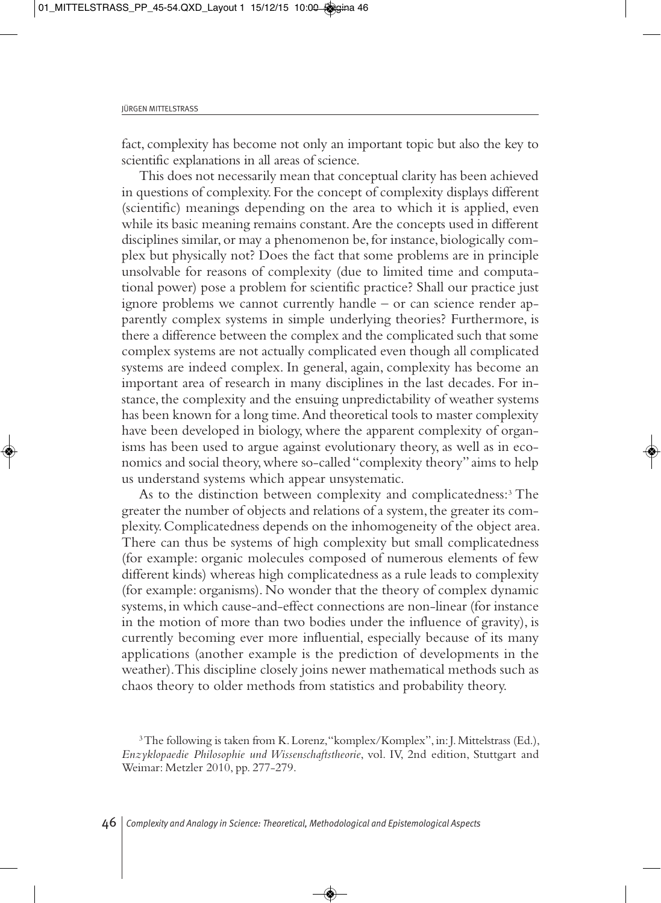fact, complexity has become not only an important topic but also the key to scientific explanations in all areas of science.

This does not necessarily mean that conceptual clarity has been achieved in questions of complexity. For the concept of complexity displays different (scientific) meanings depending on the area to which it is applied, even while its basic meaning remains constant. Are the concepts used in different disciplines similar, or may a phenomenon be, for instance, biologically complex but physically not? Does the fact that some problems are in principle unsolvable for reasons of complexity (due to limited time and computational power) pose a problem for scientific practice? Shall our practice just ignore problems we cannot currently handle – or can science render apparently complex systems in simple underlying theories? Furthermore, is there a difference between the complex and the complicated such that some complex systems are not actually complicated even though all complicated systems are indeed complex. In general, again, complexity has become an important area of research in many disciplines in the last decades. For instance, the complexity and the ensuing unpredictability of weather systems has been known for a long time. And theoretical tools to master complexity have been developed in biology, where the apparent complexity of organisms has been used to argue against evolutionary theory, as well as in economics and social theory, where so-called "complexity theory" aims to help us understand systems which appear unsystematic.

As to the distinction between complexity and complicatedness:<sup>3</sup> The greater the number of objects and relations of a system, the greater its complexity. Complicatedness depends on the inhomogeneity of the object area. There can thus be systems of high complexity but small complicatedness (for example: organic molecules composed of numerous elements of few different kinds) whereas high complicatedness as a rule leads to complexity (for example: organisms). No wonder that the theory of complex dynamic systems, in which cause-and-effect connections are non-linear (for instance in the motion of more than two bodies under the influence of gravity), is currently becoming ever more influential, especially because of its many applications (another example is the prediction of developments in the weather). This discipline closely joins newer mathematical methods such as chaos theory to older methods from statistics and probability theory.

<sup>&</sup>lt;sup>3</sup>The following is taken from K. Lorenz, "komplex/Komplex", in: J. Mittelstrass (Ed.), *Enzyklopaedie Philosophie und Wissenschaftstheorie*, vol. IV, 2nd edition, Stuttgart and Weimar: Metzler 2010, pp. 277-279.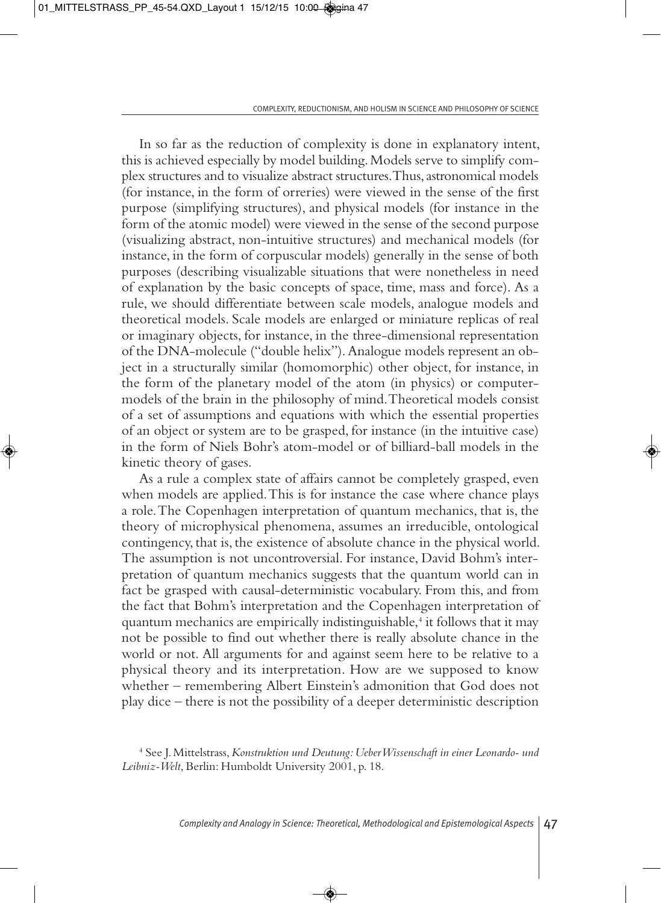In so far as the reduction of complexity is done in explanatory intent, this is achieved especially by model building. Models serve to simplify complex structures and to visualize abstract structures. Thus, astronomical models (for instance, in the form of orreries) were viewed in the sense of the first purpose (simplifying structures), and physical models (for instance in the form of the atomic model) were viewed in the sense of the second purpose (visualizing abstract, non-intuitive structures) and mechanical models (for instance, in the form of corpuscular models) generally in the sense of both purposes (describing visualizable situations that were nonetheless in need of explanation by the basic concepts of space, time, mass and force). As a rule, we should differentiate between scale models, analogue models and theoretical models. Scale models are enlarged or miniature replicas of real or imaginary objects, for instance, in the three-dimensional representation of the DNA-molecule ("double helix"). Analogue models represent an object in a structurally similar (homomorphic) other object, for instance, in the form of the planetary model of the atom (in physics) or computermodels of the brain in the philosophy of mind. Theoretical models consist of a set of assumptions and equations with which the essential properties of an object or system are to be grasped, for instance (in the intuitive case) in the form of Niels Bohr's atom-model or of billiard-ball models in the kinetic theory of gases.

As a rule a complex state of affairs cannot be completely grasped, even when models are applied. This is for instance the case where chance plays a role. The Copenhagen interpretation of quantum mechanics, that is, the theory of microphysical phenomena, assumes an irreducible, ontological contingency, that is, the existence of absolute chance in the physical world. The assumption is not uncontroversial. For instance, David Bohm's interpretation of quantum mechanics suggests that the quantum world can in fact be grasped with causal-deterministic vocabulary. From this, and from the fact that Bohm's interpretation and the Copenhagen interpretation of quantum mechanics are empirically indistinguishable,4 it follows that it may not be possible to find out whether there is really absolute chance in the world or not. All arguments for and against seem here to be relative to a physical theory and its interpretation. How are we supposed to know whether – remembering Albert Einstein's admonition that God does not play dice – there is not the possibility of a deeper deterministic description

<sup>4</sup> See J. Mittelstrass, *Konstruktion und Deutung: Ueber Wissenschaft in einer Leonardo- und Leibniz-Welt*, Berlin: Humboldt University 2001, p. 18.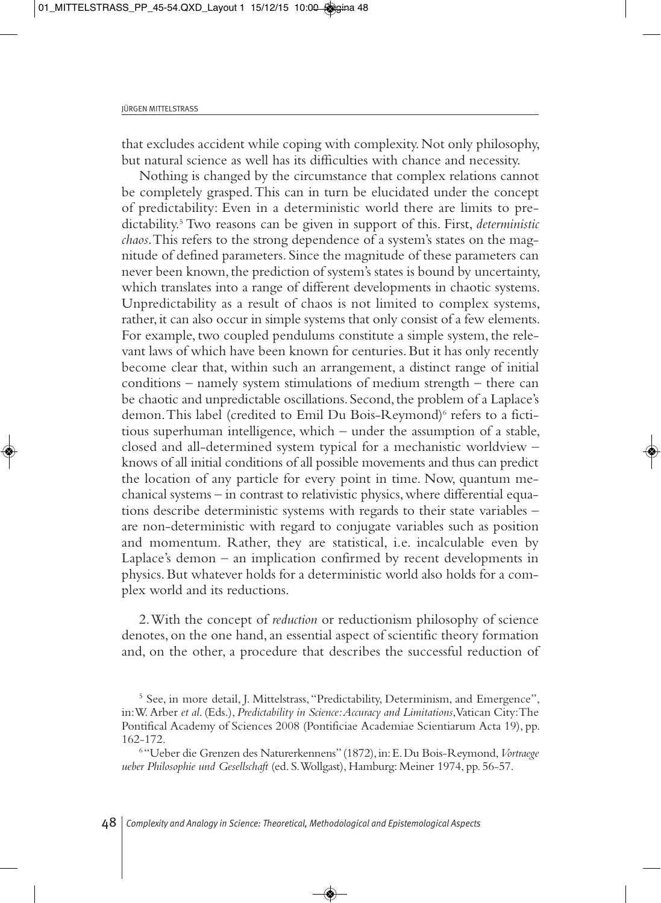that excludes accident while coping with complexity. Not only philosophy, but natural science as well has its difficulties with chance and necessity.

Nothing is changed by the circumstance that complex relations cannot be completely grasped. This can in turn be elucidated under the concept of predictability: Even in a deterministic world there are limits to predictability.5 Two reasons can be given in support of this. First, *deterministic chaos*. This refers to the strong dependence of a system's states on the magnitude of defined parameters. Since the magnitude of these parameters can never been known, the prediction of system's states is bound by uncertainty, which translates into a range of different developments in chaotic systems. Unpredictability as a result of chaos is not limited to complex systems, rather, it can also occur in simple systems that only consist of a few elements. For example, two coupled pendulums constitute a simple system, the relevant laws of which have been known for centuries. But it has only recently become clear that, within such an arrangement, a distinct range of initial conditions – namely system stimulations of medium strength – there can be chaotic and unpredictable oscillations. Second, the problem of a Laplace's demon. This label (credited to Emil Du Bois-Reymond)<sup>6</sup> refers to a fictitious superhuman intelligence, which – under the assumption of a stable, closed and all-determined system typical for a mechanistic worldview – knows of all initial conditions of all possible movements and thus can predict the location of any particle for every point in time. Now, quantum mechanical systems – in contrast to relativistic physics, where differential equations describe deterministic systems with regards to their state variables – are non-deterministic with regard to conjugate variables such as position and momentum. Rather, they are statistical, i.e. incalculable even by Laplace's demon – an implication confirmed by recent developments in physics. But whatever holds for a deterministic world also holds for a complex world and its reductions.

2. With the concept of *reduction* or reductionism philosophy of science denotes, on the one hand, an essential aspect of scientific theory formation and, on the other, a procedure that describes the successful reduction of

<sup>5</sup> See, in more detail, J. Mittelstrass, "Predictability, Determinism, and Emergence", in: W. Arber *et al*. (Eds.), *Predictability in Science: Accuracy and Limitations*, Vatican City: The Pontifical Academy of Sciences 2008 (Pontificiae Academiae Scientiarum Acta 19), pp. 162-172.

<sup>6</sup> "Ueber die Grenzen des Naturerkennens" (1872), in: E. Du Bois-Reymond, *Vortraege ueber Philosophie und Gesellschaft* (ed. S. Wollgast), Hamburg: Meiner 1974, pp. 56-57.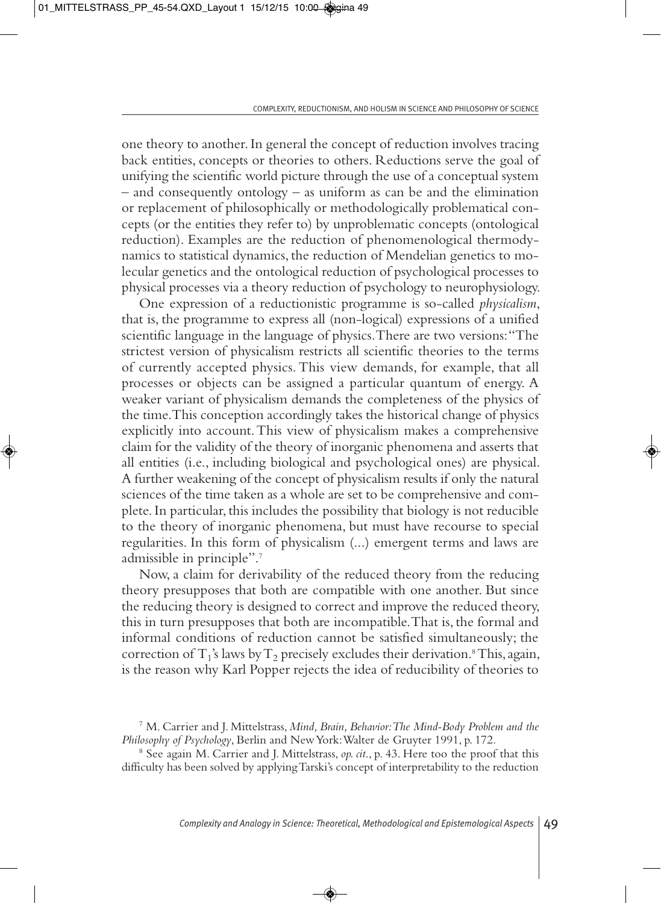one theory to another. In general the concept of reduction involves tracing back entities, concepts or theories to others. Reductions serve the goal of unifying the scientific world picture through the use of a conceptual system – and consequently ontology – as uniform as can be and the elimination or replacement of philosophically or methodologically problematical concepts (or the entities they refer to) by unproblematic concepts (ontological reduction). Examples are the reduction of phenomenological thermodynamics to statistical dynamics, the reduction of Mendelian genetics to molecular genetics and the ontological reduction of psychological processes to physical processes via a theory reduction of psychology to neurophysiology.

One expression of a reductionistic programme is so-called *physicalism*, that is, the programme to express all (non-logical) expressions of a unified scientific language in the language of physics. There are two versions: "The strictest version of physicalism restricts all scientific theories to the terms of currently accepted physics. This view demands, for example, that all processes or objects can be assigned a particular quantum of energy. A weaker variant of physicalism demands the completeness of the physics of the time. This conception accordingly takes the historical change of physics explicitly into account. This view of physicalism makes a comprehensive claim for the validity of the theory of inorganic phenomena and asserts that all entities (i.e., including biological and psychological ones) are physical. A further weakening of the concept of physicalism results if only the natural sciences of the time taken as a whole are set to be comprehensive and complete. In particular, this includes the possibility that biology is not reducible to the theory of inorganic phenomena, but must have recourse to special regularities. In this form of physicalism (...) emergent terms and laws are admissible in principle".7

Now, a claim for derivability of the reduced theory from the reducing theory presupposes that both are compatible with one another. But since the reducing theory is designed to correct and improve the reduced theory, this in turn presupposes that both are incompatible. That is, the formal and informal conditions of reduction cannot be satisfied simultaneously; the correction of  $T_1$ 's laws by  $T_2$  precisely excludes their derivation.<sup>8</sup> This, again, is the reason why Karl Popper rejects the idea of reducibility of theories to

<sup>7</sup> M. Carrier and J. Mittelstrass, *Mind, Brain, Behavior: The Mind-Body Problem and the Philosophy of Psychology*, Berlin and New York: Walter de Gruyter 1991, p. 172.

<sup>8</sup> See again M. Carrier and J. Mittelstrass, *op. cit*., p. 43. Here too the proof that this difficulty has been solved by applying Tarski's concept of interpretability to the reduction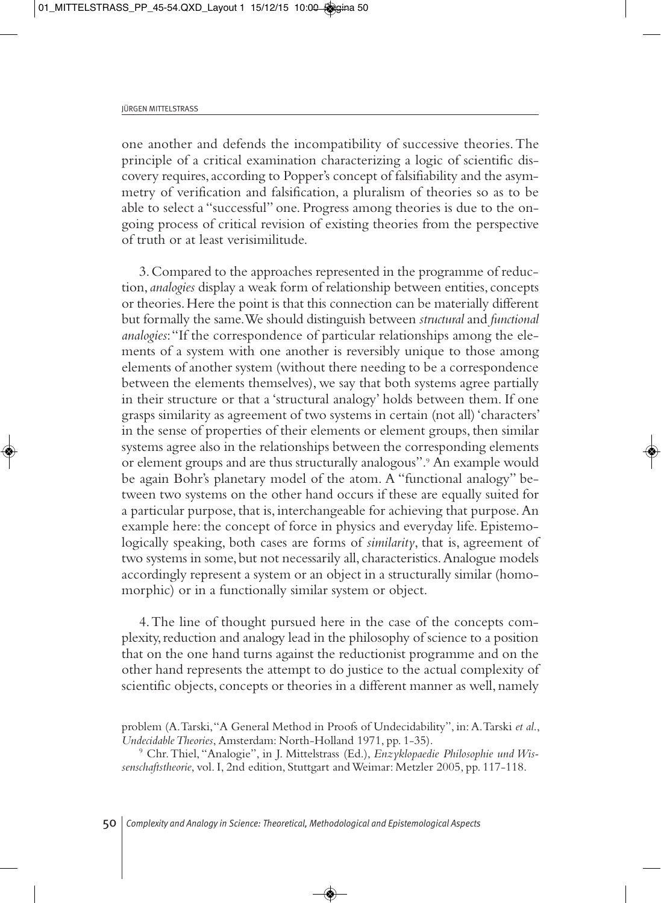one another and defends the incompatibility of successive theories. The principle of a critical examination characterizing a logic of scientific discovery requires, according to Popper's concept of falsifiability and the asymmetry of verification and falsification, a pluralism of theories so as to be able to select a "successful" one. Progress among theories is due to the ongoing process of critical revision of existing theories from the perspective of truth or at least verisimilitude.

3. Compared to the approaches represented in the programme of reduction, *analogies* display a weak form of relationship between entities, concepts or theories. Here the point is that this connection can be materially different but formally the same. We should distinguish between *structural* and *functional analogies*: "If the correspondence of particular relationships among the elements of a system with one another is reversibly unique to those among elements of another system (without there needing to be a correspondence between the elements themselves), we say that both systems agree partially in their structure or that a 'structural analogy' holds between them. If one grasps similarity as agreement of two systems in certain (not all) 'characters' in the sense of properties of their elements or element groups, then similar systems agree also in the relationships between the corresponding elements or element groups and are thus structurally analogous".9 An example would be again Bohr's planetary model of the atom. A "functional analogy" between two systems on the other hand occurs if these are equally suited for a particular purpose, that is, interchangeable for achieving that purpose. An example here: the concept of force in physics and everyday life. Epistemologically speaking, both cases are forms of *similarity*, that is, agreement of two systems in some, but not necessarily all, characteristics. Analogue models accordingly represent a system or an object in a structurally similar (homomorphic) or in a functionally similar system or object.

4. The line of thought pursued here in the case of the concepts complexity, reduction and analogy lead in the philosophy of science to a position that on the one hand turns against the reductionist programme and on the other hand represents the attempt to do justice to the actual complexity of scientific objects, concepts or theories in a different manner as well, namely

<sup>9</sup> Chr. Thiel, "Analogie", in J. Mittelstrass (Ed.), *Enzyklopaedie Philosophie und Wissenschaftstheorie*, vol. I, 2nd edition, Stuttgart and Weimar: Metzler 2005, pp. 117-118.

problem (A. Tarski, "A General Method in Proofs of Undecidability", in: A. Tarski *et al*., *Undecidable Theories*, Amsterdam: North-Holland 1971, pp. 1-35).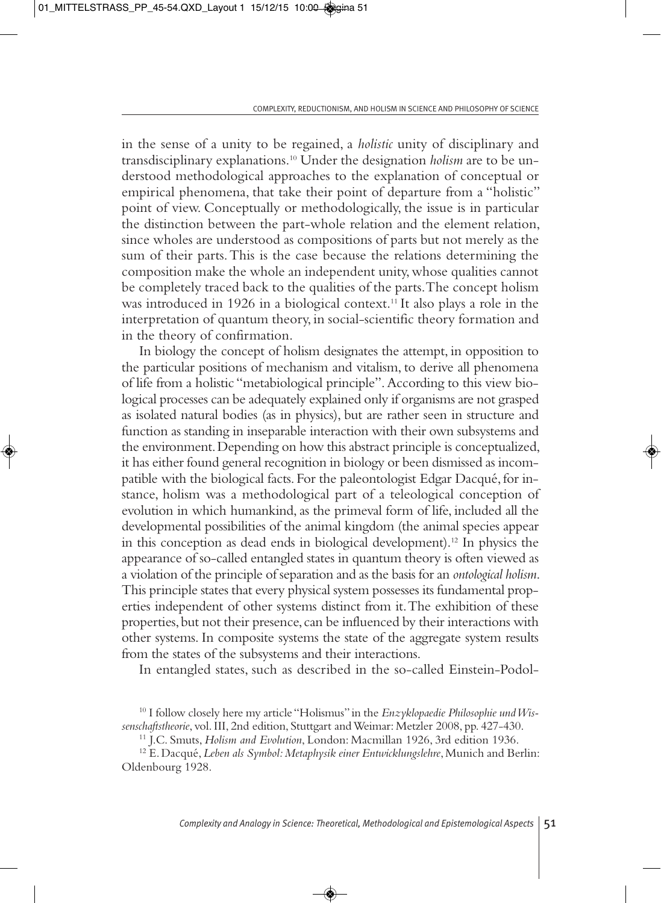in the sense of a unity to be regained, a *holistic* unity of disciplinary and transdisciplinary explanations.10 Under the designation *holism* are to be understood methodological approaches to the explanation of conceptual or empirical phenomena, that take their point of departure from a "holistic" point of view. Conceptually or methodologically, the issue is in particular the distinction between the part-whole relation and the element relation, since wholes are understood as compositions of parts but not merely as the sum of their parts. This is the case because the relations determining the composition make the whole an independent unity, whose qualities cannot be completely traced back to the qualities of the parts. The concept holism was introduced in 1926 in a biological context.<sup>11</sup> It also plays a role in the interpretation of quantum theory, in social-scientific theory formation and in the theory of confirmation.

In biology the concept of holism designates the attempt, in opposition to the particular positions of mechanism and vitalism, to derive all phenomena of life from a holistic "metabiological principle". According to this view biological processes can be adequately explained only if organisms are not grasped as isolated natural bodies (as in physics), but are rather seen in structure and function as standing in inseparable interaction with their own subsystems and the environment. Depending on how this abstract principle is conceptualized, it has either found general recognition in biology or been dismissed as incompatible with the biological facts. For the paleontologist Edgar Dacqué, for instance, holism was a methodological part of a teleological conception of evolution in which humankind, as the primeval form of life, included all the developmental possibilities of the animal kingdom (the animal species appear in this conception as dead ends in biological development).12 In physics the appearance of so-called entangled states in quantum theory is often viewed as a violation of the principle of separation and as the basis for an *ontological holism*. This principle states that every physical system possesses its fundamental properties independent of other systems distinct from it. The exhibition of these properties, but not their presence, can be influenced by their interactions with other systems. In composite systems the state of the aggregate system results from the states of the subsystems and their interactions.

In entangled states, such as described in the so-called Einstein-Podol-

<sup>&</sup>lt;sup>10</sup> I follow closely here my article "Holismus" in the *Enzyklopaedie Philosophie und Wissenschaftstheorie*, vol. III, 2nd edition, Stuttgart and Weimar: Metzler 2008, pp. 427-430.

<sup>11</sup> J.C. Smuts, *Holism and Evolution*, London: Macmillan 1926, 3rd edition 1936.

<sup>12</sup> E. Dacqué, *Leben als Symbol: Metaphysik einer Entwicklungslehre*, Munich and Berlin: Oldenbourg 1928.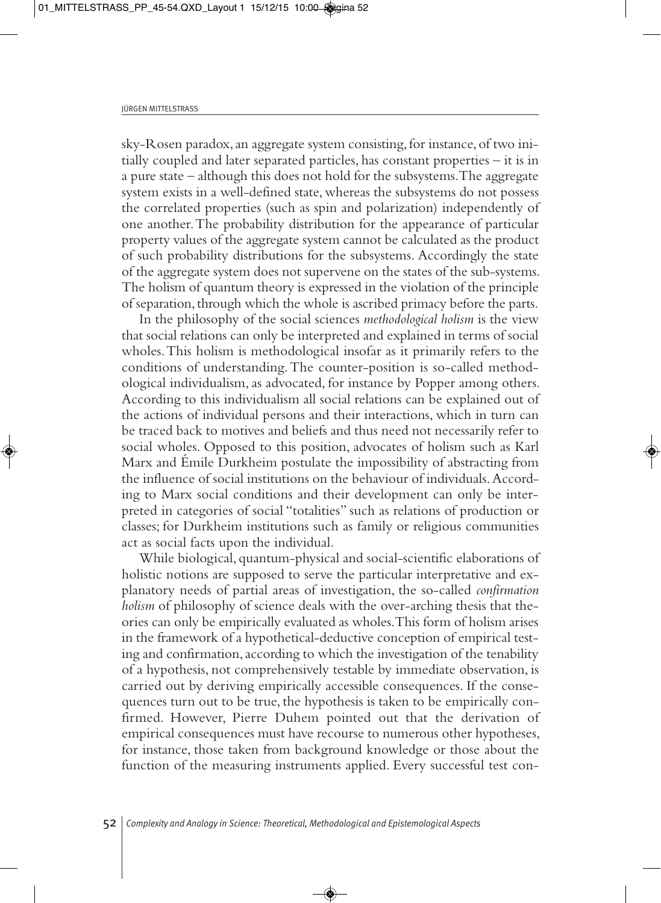sky-Rosen paradox, an aggregate system consisting, for instance, of two initially coupled and later separated particles, has constant properties – it is in a pure state – although this does not hold for the subsystems. The aggregate system exists in a well-defined state, whereas the subsystems do not possess the correlated properties (such as spin and polarization) independently of one another. The probability distribution for the appearance of particular property values of the aggregate system cannot be calculated as the product of such probability distributions for the subsystems. Accordingly the state of the aggregate system does not supervene on the states of the sub-systems. The holism of quantum theory is expressed in the violation of the principle of separation, through which the whole is ascribed primacy before the parts.

In the philosophy of the social sciences *methodological holism* is the view that social relations can only be interpreted and explained in terms of social wholes. This holism is methodological insofar as it primarily refers to the conditions of understanding. The counter-position is so-called methodological individualism, as advocated, for instance by Popper among others. According to this individualism all social relations can be explained out of the actions of individual persons and their interactions, which in turn can be traced back to motives and beliefs and thus need not necessarily refer to social wholes. Opposed to this position, advocates of holism such as Karl Marx and Émile Durkheim postulate the impossibility of abstracting from the influence of social institutions on the behaviour of individuals. According to Marx social conditions and their development can only be interpreted in categories of social "totalities" such as relations of production or classes; for Durkheim institutions such as family or religious communities act as social facts upon the individual.

While biological, quantum-physical and social-scientific elaborations of holistic notions are supposed to serve the particular interpretative and explanatory needs of partial areas of investigation, the so-called *confirmation holism* of philosophy of science deals with the over-arching thesis that theories can only be empirically evaluated as wholes. This form of holism arises in the framework of a hypothetical-deductive conception of empirical testing and confirmation, according to which the investigation of the tenability of a hypothesis, not comprehensively testable by immediate observation, is carried out by deriving empirically accessible consequences. If the consequences turn out to be true, the hypothesis is taken to be empirically confirmed. However, Pierre Duhem pointed out that the derivation of empirical consequences must have recourse to numerous other hypotheses, for instance, those taken from background knowledge or those about the function of the measuring instruments applied. Every successful test con